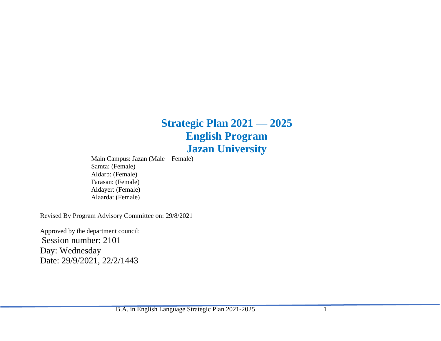# **Strategic Plan 2021 — 2025 English Program Jazan University**

Main Campus: Jazan (Male – Female) Samta: (Female) Aldarb: (Female) Farasan: (Female) Aldayer: (Female) Alaarda: (Female)

Revised By Program Advisory Committee on: 29/8/2021

Approved by the department council: Session number: 2101 Day: Wednesday Date: 29/9/2021, 22/2/1443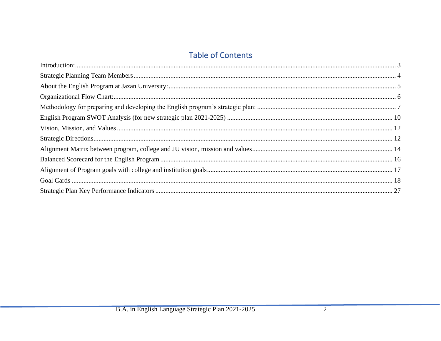## **Table of Contents**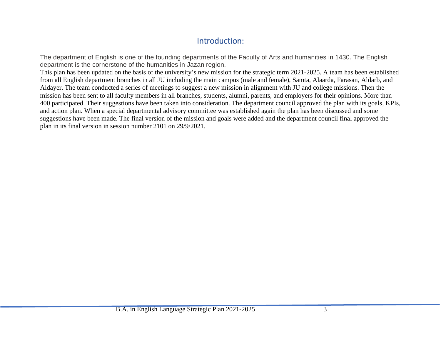### Introduction:

<span id="page-2-0"></span>The department of English is one of the founding departments of the Faculty of Arts and humanities in 1430. The English department is the cornerstone of the humanities in Jazan region.

This plan has been updated on the basis of the university's new mission for the strategic term 2021-2025. A team has been established from all English department branches in all JU including the main campus (male and female), Samta, Alaarda, Farasan, Aldarb, and Aldayer. The team conducted a series of meetings to suggest a new mission in alignment with JU and college missions. Then the mission has been sent to all faculty members in all branches, students, alumni, parents, and employers for their opinions. More than 400 participated. Their suggestions have been taken into consideration. The department council approved the plan with its goals, KPIs, and action plan. When a special departmental advisory committee was established again the plan has been discussed and some suggestions have been made. The final version of the mission and goals were added and the department council final approved the plan in its final version in session number 2101 on 29/9/2021.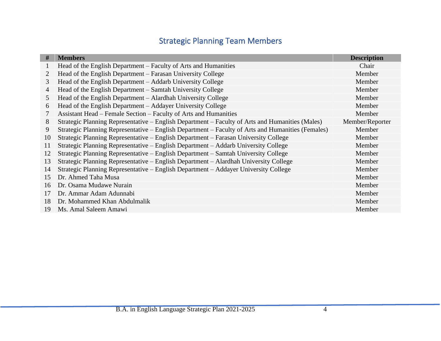## Strategic Planning Team Members

<span id="page-3-0"></span>

| #  | <b>Members</b>                                                                                    | <b>Description</b> |
|----|---------------------------------------------------------------------------------------------------|--------------------|
|    | Head of the English Department – Faculty of Arts and Humanities                                   | Chair              |
| 2  | Head of the English Department – Farasan University College                                       | Member             |
| 3  | Head of the English Department - Addarb University College                                        | Member             |
| 4  | Head of the English Department – Samtah University College                                        | Member             |
| 5  | Head of the English Department – Alardhah University College                                      | Member             |
| 6  | Head of the English Department – Addayer University College                                       | Member             |
| 7  | Assistant Head – Female Section – Faculty of Arts and Humanities                                  | Member             |
| 8  | Strategic Planning Representative – English Department – Faculty of Arts and Humanities (Males)   | Member/Reporter    |
| 9  | Strategic Planning Representative – English Department – Faculty of Arts and Humanities (Females) | Member             |
| 10 | Strategic Planning Representative – English Department – Farasan University College               | Member             |
| 11 | Strategic Planning Representative – English Department – Addarb University College                | Member             |
| 12 | Strategic Planning Representative – English Department – Samtah University College                | Member             |
| 13 | Strategic Planning Representative – English Department – Alardhah University College              | Member             |
| 14 | Strategic Planning Representative - English Department - Addayer University College               | Member             |
| 15 | Dr. Ahmed Taha Musa                                                                               | Member             |
| 16 | Dr. Osama Mudawe Nurain                                                                           | Member             |
| 17 | Dr. Ammar Adam Adunnabi                                                                           | Member             |
| 18 | Dr. Mohammed Khan Abdulmalik                                                                      | Member             |
| 19 | Ms. Amal Saleem Amawi                                                                             | Member             |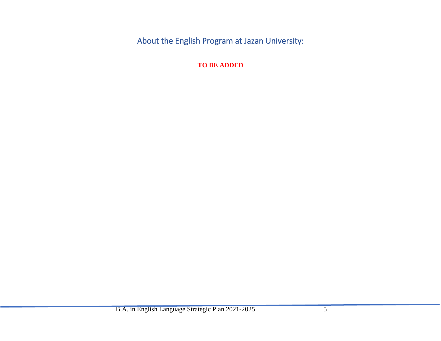<span id="page-4-1"></span><span id="page-4-0"></span>About the English Program at Jazan University:

**TO BE ADDED**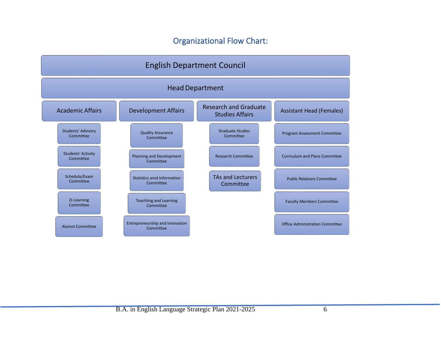### Organizational Flow Chart:

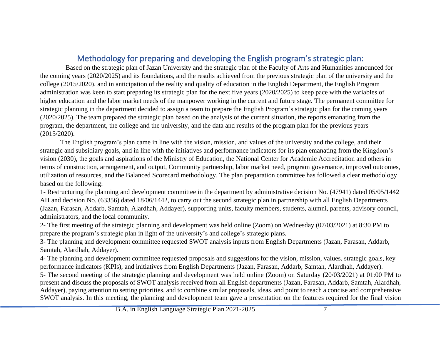### Methodology for preparing and developing the English program's strategic plan:

<span id="page-6-0"></span>Based on the strategic plan of Jazan University and the strategic plan of the Faculty of Arts and Humanities announced for the coming years (2020/2025) and its foundations, and the results achieved from the previous strategic plan of the university and the college (2015/2020), and in anticipation of the reality and quality of education in the English Department, the English Program administration was keen to start preparing its strategic plan for the next five years (2020/2025) to keep pace with the variables of higher education and the labor market needs of the manpower working in the current and future stage. The permanent committee for strategic planning in the department decided to assign a team to prepare the English Program's strategic plan for the coming years (2020/2025). The team prepared the strategic plan based on the analysis of the current situation, the reports emanating from the program, the department, the college and the university, and the data and results of the program plan for the previous years (2015/2020).

The English program's plan came in line with the vision, mission, and values of the university and the college, and their strategic and subsidiary goals, and in line with the initiatives and performance indicators for its plan emanating from the Kingdom's vision (2030), the goals and aspirations of the Ministry of Education, the National Center for Academic Accreditation and others in terms of construction, arrangement, and output, Community partnership, labor market need, program governance, improved outcomes, utilization of resources, and the Balanced Scorecard methodology. The plan preparation committee has followed a clear methodology based on the following:

1- Restructuring the planning and development committee in the department by administrative decision No. (47941) dated 05/05/1442 AH and decision No. (63356) dated 18/06/1442, to carry out the second strategic plan in partnership with all English Departments (Jazan, Farasan, Addarb, Samtah, Alardhah, Addayer), supporting units, faculty members, students, alumni, parents, advisory council, administrators, and the local community.

2- The first meeting of the strategic planning and development was held online (Zoom) on Wednesday (07/03/2021) at 8:30 PM to prepare the program's strategic plan in light of the university's and college's strategic plans.

3- The planning and development committee requested SWOT analysis inputs from English Departments (Jazan, Farasan, Addarb, Samtah, Alardhah, Addayer).

4- The planning and development committee requested proposals and suggestions for the vision, mission, values, strategic goals, key performance indicators (KPIs), and initiatives from English Departments (Jazan, Farasan, Addarb, Samtah, Alardhah, Addayer).

5- The second meeting of the strategic planning and development was held online (Zoom) on Saturday (20/03/2021) at 01:00 PM to present and discuss the proposals of SWOT analysis received from all English departments (Jazan, Farasan, Addarb, Samtah, Alardhah, Addayer), paying attention to setting priorities, and to combine similar proposals, ideas, and point to reach a concise and comprehensive SWOT analysis. In this meeting, the planning and development team gave a presentation on the features required for the final vision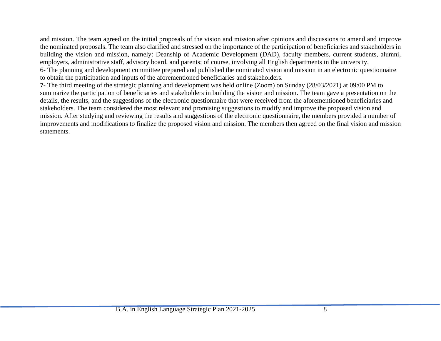and mission. The team agreed on the initial proposals of the vision and mission after opinions and discussions to amend and improve the nominated proposals. The team also clarified and stressed on the importance of the participation of beneficiaries and stakeholders in building the vision and mission, namely: Deanship of Academic Development (DAD), faculty members, current students, alumni, employers, administrative staff, advisory board, and parents; of course, involving all English departments in the university. 6- The planning and development committee prepared and published the nominated vision and mission in an electronic questionnaire to obtain the participation and inputs of the aforementioned beneficiaries and stakeholders.

**7-** The third meeting of the strategic planning and development was held online (Zoom) on Sunday (28/03/2021) at 09:00 PM to summarize the participation of beneficiaries and stakeholders in building the vision and mission. The team gave a presentation on the details, the results, and the suggestions of the electronic questionnaire that were received from the aforementioned beneficiaries and stakeholders. The team considered the most relevant and promising suggestions to modify and improve the proposed vision and mission. After studying and reviewing the results and suggestions of the electronic questionnaire, the members provided a number of improvements and modifications to finalize the proposed vision and mission. The members then agreed on the final vision and mission statements.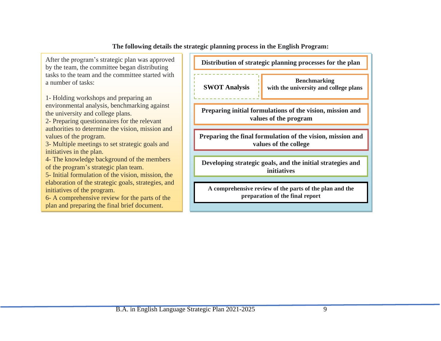**The following details the strategic planning process in the English Program:**

After the program's strategic plan was approved by the team, the committee began distributing tasks to the team and the committee started with a number of tasks:

1- Holding workshops and preparing an environmental analysis, benchmarking against the university and college plans.

2- Preparing questionnaires for the relevant authorities to determine the vision, mission and values of the program.

3- Multiple meetings to set strategic goals and initiatives in the plan.

4- The knowledge background of the members of the program's strategic plan team.

5- Initial formulation of the vision, mission, the elaboration of the strategic goals, strategies, and initiatives of the program.

6- A comprehensive review for the parts of the plan and preparing the final brief document.

**Distribution of strategic planning processes for the plan SWOT Analysis Benchmarking with the university and college plans Preparing initial formulations of the vision, mission and values of the program Preparing the final formulation of the vision, mission and values of the college Developing strategic goals, and the initial strategies and initiatives**

**A comprehensive review of the parts of the plan and the preparation of the final report**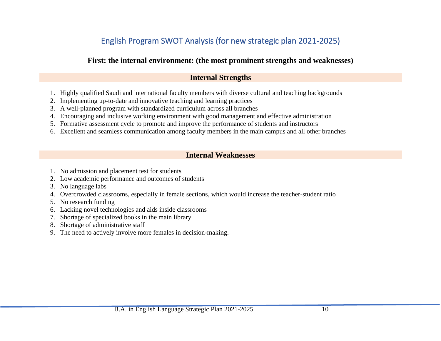## English Program SWOT Analysis (for new strategic plan 2021-2025)

### <span id="page-9-0"></span>**First: the internal environment: (the most prominent strengths and weaknesses)**

### **Internal Strengths**

- 1. Highly qualified Saudi and international faculty members with diverse cultural and teaching backgrounds
- 2. Implementing up-to-date and innovative teaching and learning practices
- 3. A well-planned program with standardized curriculum across all branches
- 4. Encouraging and inclusive working environment with good management and effective administration
- 5. Formative assessment cycle to promote and improve the performance of students and instructors
- 6. Excellent and seamless communication among faculty members in the main campus and all other branches

### **Internal Weaknesses**

- 1. No admission and placement test for students
- 2. Low academic performance and outcomes of students
- 3. No language labs
- 4. Overcrowded classrooms, especially in female sections, which would increase the teacher-student ratio
- 5. No research funding
- 6. Lacking novel technologies and aids inside classrooms
- 7. Shortage of specialized books in the main library
- 8. Shortage of administrative staff
- 9. The need to actively involve more females in decision-making.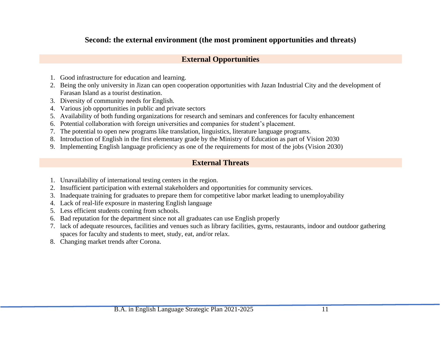### **Second: the external environment (the most prominent opportunities and threats)**

### **External Opportunities**

- 1. Good infrastructure for education and learning.
- 2. Being the only university in Jizan can open cooperation opportunities with Jazan Industrial City and the development of Farasan Island as a tourist destination.
- 3. Diversity of community needs for English.
- 4. Various job opportunities in public and private sectors
- 5. Availability of both funding organizations for research and seminars and conferences for faculty enhancement
- 6. Potential collaboration with foreign universities and companies for student's placement.
- 7. The potential to open new programs like translation, linguistics, literature language programs.
- 8. Introduction of English in the first elementary grade by the Ministry of Education as part of Vision 2030
- 9. Implementing English language proficiency as one of the requirements for most of the jobs (Vision 2030)

### **External Threats**

- 1. Unavailability of international testing centers in the region.
- 2. Insufficient participation with external stakeholders and opportunities for community services.
- 3. Inadequate training for graduates to prepare them for competitive labor market leading to unemployability
- 4. Lack of real-life exposure in mastering English language
- 5. Less efficient students coming from schools.
- 6. Bad reputation for the department since not all graduates can use English properly
- 7. lack of adequate resources, facilities and venues such as library facilities, gyms, restaurants, indoor and outdoor gathering spaces for faculty and students to meet, study, eat, and/or relax.
- 8. Changing market trends after Corona.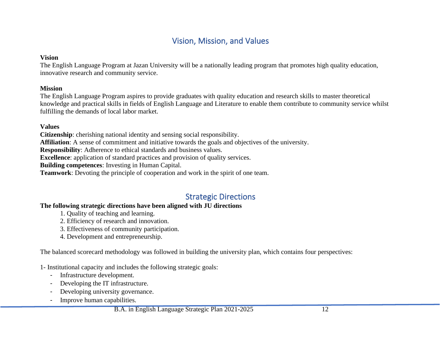### Vision, Mission, and Values

#### <span id="page-11-0"></span>**Vision**

The English Language Program at Jazan University will be a nationally leading program that promotes high quality education, innovative research and community service.

#### **Mission**

The English Language Program aspires to provide graduates with quality education and research skills to master theoretical knowledge and practical skills in fields of English Language and Literature to enable them contribute to community service whilst fulfilling the demands of local labor market.

#### **Values**

**Citizenship**: cherishing national identity and sensing social responsibility.

**Affiliation**: A sense of commitment and initiative towards the goals and objectives of the university.

**Responsibility**: Adherence to ethical standards and business values.

**Excellence**: application of standard practices and provision of quality services.

**Building competences**: Investing in Human Capital.

<span id="page-11-1"></span>**Teamwork**: Devoting the principle of cooperation and work in the spirit of one team.

### Strategic Directions

#### **The following strategic directions have been aligned with JU directions**

- 1. Quality of teaching and learning.
- 2. Efficiency of research and innovation.
- 3. Effectiveness of community participation.
- 4. Development and entrepreneurship.

The balanced scorecard methodology was followed in building the university plan, which contains four perspectives:

1- Institutional capacity and includes the following strategic goals:

- Infrastructure development.
- Developing the IT infrastructure.
- Developing university governance.
- Improve human capabilities.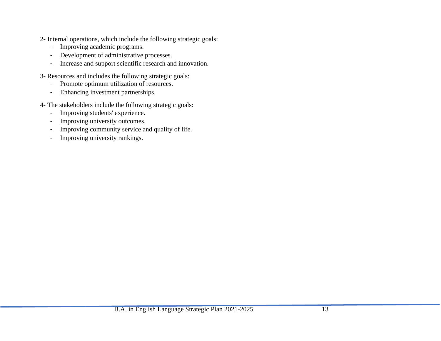- 2- Internal operations, which include the following strategic goals:
	- Improving academic programs.
	- Development of administrative processes.
	- Increase and support scientific research and innovation.
- 3- Resources and includes the following strategic goals:
	- Promote optimum utilization of resources.
	- Enhancing investment partnerships.
- <span id="page-12-0"></span>4- The stakeholders include the following strategic goals:
	- Improving students' experience.
	- Improving university outcomes.
	- Improving community service and quality of life.
	- Improving university rankings.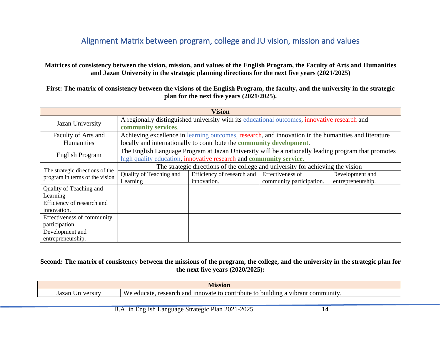### Alignment Matrix between program, college and JU vision, mission and values

**Matrices of consistency between the vision, mission, and values of the English Program, the Faculty of Arts and Humanities and Jazan University in the strategic planning directions for the next five years (2021/2025)**

**First: The matrix of consistency between the visions of the English Program, the faculty, and the university in the strategic plan for the next five years (2021/2025).**

|                                              | <b>Vision</b>                                                                                                                                                             |                                                                                                                                                                              |                                              |                                      |  |  |  |  |
|----------------------------------------------|---------------------------------------------------------------------------------------------------------------------------------------------------------------------------|------------------------------------------------------------------------------------------------------------------------------------------------------------------------------|----------------------------------------------|--------------------------------------|--|--|--|--|
| Jazan University                             | community services.                                                                                                                                                       | A regionally distinguished university with its educational outcomes, innovative research and                                                                                 |                                              |                                      |  |  |  |  |
| Faculty of Arts and<br>Humanities            |                                                                                                                                                                           | Achieving excellence in learning outcomes, research, and innovation in the humanities and literature<br>locally and internationally to contribute the community development. |                                              |                                      |  |  |  |  |
| English Program                              | The English Language Program at Jazan University will be a nationally leading program that promotes<br>high quality education, innovative research and community service. |                                                                                                                                                                              |                                              |                                      |  |  |  |  |
| The strategic directions of the              | The strategic directions of the college and university for achieving the vision                                                                                           |                                                                                                                                                                              |                                              |                                      |  |  |  |  |
| program in terms of the vision               | Quality of Teaching and<br>Learning                                                                                                                                       | Efficiency of research and<br>innovation.                                                                                                                                    | Effectiveness of<br>community participation. | Development and<br>entrepreneurship. |  |  |  |  |
| Quality of Teaching and<br>Learning          |                                                                                                                                                                           |                                                                                                                                                                              |                                              |                                      |  |  |  |  |
| Efficiency of research and<br>innovation.    |                                                                                                                                                                           |                                                                                                                                                                              |                                              |                                      |  |  |  |  |
| Effectiveness of community<br>participation. |                                                                                                                                                                           |                                                                                                                                                                              |                                              |                                      |  |  |  |  |
| Development and<br>entrepreneurship.         |                                                                                                                                                                           |                                                                                                                                                                              |                                              |                                      |  |  |  |  |

#### **Second: The matrix of consistency between the missions of the program, the college, and the university in the strategic plan for the next five years (2020/2025):**

|                                       | TCTAT                                                                                                                        |  |
|---------------------------------------|------------------------------------------------------------------------------------------------------------------------------|--|
| $W_f$<br>Jazar<br>educate<br>. crsity | annovate<br>and<br>contribute<br>$\sim$<br>$\sim$ $\sim$<br>-bui<br>research<br>÷τo<br>$\gamma$ ot $\alpha$<br>догаш<br>- 10 |  |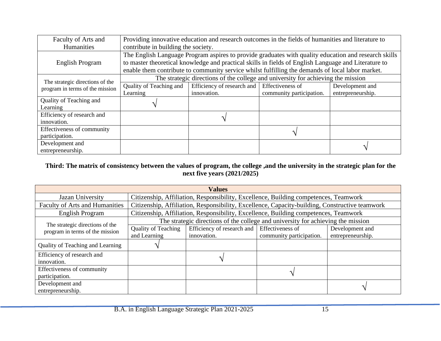| Faculty of Arts and             |                                     | Providing innovative education and research outcomes in the fields of humanities and literature to   |                          |                   |  |  |  |  |
|---------------------------------|-------------------------------------|------------------------------------------------------------------------------------------------------|--------------------------|-------------------|--|--|--|--|
| Humanities                      | contribute in building the society. |                                                                                                      |                          |                   |  |  |  |  |
|                                 |                                     | The English Language Program aspires to provide graduates with quality education and research skills |                          |                   |  |  |  |  |
| English Program                 |                                     | to master theoretical knowledge and practical skills in fields of English Language and Literature to |                          |                   |  |  |  |  |
|                                 |                                     | enable them contribute to community service whilst fulfilling the demands of local labor market.     |                          |                   |  |  |  |  |
| The strategic directions of the |                                     | The strategic directions of the college and university for achieving the mission                     |                          |                   |  |  |  |  |
| program in terms of the mission | Quality of Teaching and             | Efficiency of research and Effectiveness of                                                          |                          | Development and   |  |  |  |  |
|                                 | Learning                            | innovation.                                                                                          | community participation. | entrepreneurship. |  |  |  |  |
| Quality of Teaching and         |                                     |                                                                                                      |                          |                   |  |  |  |  |
| Learning                        |                                     |                                                                                                      |                          |                   |  |  |  |  |
| Efficiency of research and      |                                     | $\gamma$                                                                                             |                          |                   |  |  |  |  |
| innovation.                     |                                     |                                                                                                      |                          |                   |  |  |  |  |
| Effectiveness of community      |                                     |                                                                                                      |                          |                   |  |  |  |  |
| participation.                  |                                     |                                                                                                      |                          |                   |  |  |  |  |
| Development and                 |                                     |                                                                                                      |                          |                   |  |  |  |  |
| entrepreneurship.               |                                     |                                                                                                      |                          |                   |  |  |  |  |

#### **Third: The matrix of consistency between the values of program, the college ,and the university in the strategic plan for the next five years (2021/2025)**

| <b>Values</b>                         |                                            |                                                                                                |  |                                      |  |  |  |  |
|---------------------------------------|--------------------------------------------|------------------------------------------------------------------------------------------------|--|--------------------------------------|--|--|--|--|
| Jazan University                      |                                            | Citizenship, Affiliation, Responsibility, Excellence, Building competences, Teamwork           |  |                                      |  |  |  |  |
| <b>Faculty of Arts and Humanities</b> |                                            | Citizenship, Affiliation, Responsibility, Excellence, Capacity-building, Constructive teamwork |  |                                      |  |  |  |  |
| <b>English Program</b>                |                                            | Citizenship, Affiliation, Responsibility, Excellence, Building competences, Teamwork           |  |                                      |  |  |  |  |
| The strategic directions of the       |                                            | The strategic directions of the college and university for achieving the mission               |  |                                      |  |  |  |  |
| program in terms of the mission       | <b>Quality of Teaching</b><br>and Learning | Efficiency of research and   Effectiveness of<br>innovation.<br>community participation.       |  | Development and<br>entrepreneurship. |  |  |  |  |
| Quality of Teaching and Learning      |                                            |                                                                                                |  |                                      |  |  |  |  |
| Efficiency of research and            |                                            |                                                                                                |  |                                      |  |  |  |  |
| innovation.                           |                                            |                                                                                                |  |                                      |  |  |  |  |
| Effectiveness of community            |                                            |                                                                                                |  |                                      |  |  |  |  |
| participation.                        |                                            |                                                                                                |  |                                      |  |  |  |  |
| Development and                       |                                            |                                                                                                |  |                                      |  |  |  |  |
| entrepreneurship.                     |                                            |                                                                                                |  |                                      |  |  |  |  |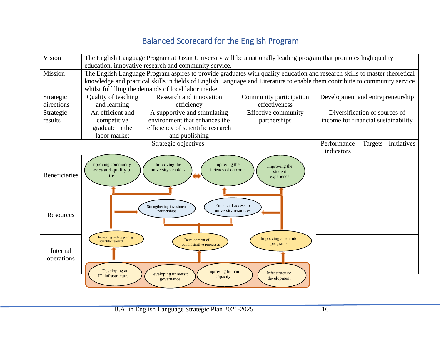## Balanced Scorecard for the English Program

<span id="page-15-0"></span>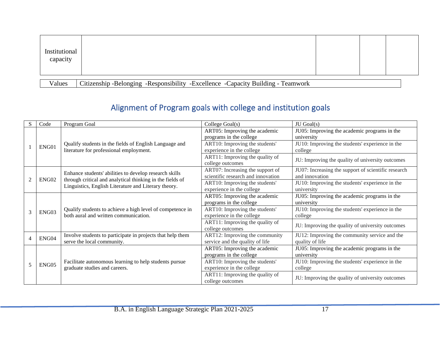| Institutional<br>capacity |                                                                                  |  |  |
|---------------------------|----------------------------------------------------------------------------------|--|--|
| Values                    | Citizenship -Belonging -Responsibility -Excellence -Capacity Building - Teamwork |  |  |

# Alignment of Program goals with college and institution goals

<span id="page-16-0"></span>

| S              | Code  | Program Goal                                                                                                      | College Goal(s)                    | JU Goal(s)                                          |
|----------------|-------|-------------------------------------------------------------------------------------------------------------------|------------------------------------|-----------------------------------------------------|
|                |       |                                                                                                                   | ART05: Improving the academic      | JU05: Improving the academic programs in the        |
|                |       |                                                                                                                   | programs in the college            | university                                          |
|                | ENG01 | Qualify students in the fields of English Language and                                                            | ART10: Improving the students'     | JU10: Improving the students' experience in the     |
|                |       | literature for professional employment.                                                                           | experience in the college          | college                                             |
|                |       |                                                                                                                   | ART11: Improving the quality of    | JU: Improving the quality of university outcomes    |
|                |       |                                                                                                                   | college outcomes                   |                                                     |
|                |       |                                                                                                                   | ART07: Increasing the support of   | JU07: Increasing the support of scientific research |
| $\mathfrak{D}$ |       | Enhance students' abilities to develop research skills                                                            | scientific research and innovation | and innovation                                      |
|                | ENG02 | through critical and analytical thinking in the fields of<br>Linguistics, English Literature and Literary theory. | ART10: Improving the students'     | JU10: Improving the students' experience in the     |
|                |       |                                                                                                                   | experience in the college          | university                                          |
|                |       | Qualify students to achieve a high level of competence in<br>both aural and written communication.                | ART05: Improving the academic      | JU05: Improving the academic programs in the        |
|                |       |                                                                                                                   | programs in the college            | university                                          |
| 3              | ENG03 |                                                                                                                   | ART10: Improving the students'     | JU10: Improving the students' experience in the     |
|                |       |                                                                                                                   | experience in the college          | college                                             |
|                |       |                                                                                                                   | ART11: Improving the quality of    | JU: Improving the quality of university outcomes    |
|                |       |                                                                                                                   | college outcomes                   |                                                     |
| 4              | ENG04 | Involve students to participate in projects that help them                                                        | ART12: Improving the community     | JU12: Improving the community service and the       |
|                |       | serve the local community.                                                                                        | service and the quality of life    | quality of life                                     |
|                |       |                                                                                                                   | ART05: Improving the academic      | JU05: Improving the academic programs in the        |
|                |       |                                                                                                                   | programs in the college            | university                                          |
| 5              | ENG05 | Facilitate autonomous learning to help students pursue                                                            | ART10: Improving the students'     | JU10: Improving the students' experience in the     |
|                |       | graduate studies and careers.                                                                                     | experience in the college          | college                                             |
|                |       |                                                                                                                   | ART11: Improving the quality of    | JU: Improving the quality of university outcomes    |
|                |       |                                                                                                                   | college outcomes                   |                                                     |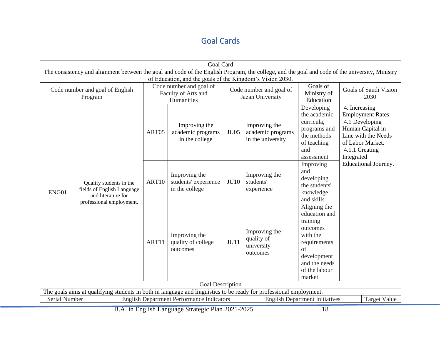## Goal Cards

<span id="page-17-0"></span>

| <b>Goal Card</b>                           |                                                                                                                                                |       |                                                                                                                           |             |                                                         |                                                                                                                                                    |                                                                                                                                                            |
|--------------------------------------------|------------------------------------------------------------------------------------------------------------------------------------------------|-------|---------------------------------------------------------------------------------------------------------------------------|-------------|---------------------------------------------------------|----------------------------------------------------------------------------------------------------------------------------------------------------|------------------------------------------------------------------------------------------------------------------------------------------------------------|
|                                            | The consistency and alignment between the goal and code of the English Program, the college, and the goal and code of the university, Ministry |       |                                                                                                                           |             |                                                         |                                                                                                                                                    |                                                                                                                                                            |
| Code number and goal of English<br>Program |                                                                                                                                                |       | of Education, and the goals of the Kingdom's Vision 2030.<br>Code number and goal of<br>Faculty of Arts and<br>Humanities |             | Code number and goal of<br>Jazan University             | Goals of<br>Ministry of<br>Education                                                                                                               | Goals of Saudi Vision<br>2030                                                                                                                              |
|                                            |                                                                                                                                                | ART05 | Improving the<br>academic programs<br>in the college                                                                      | <b>JU05</b> | Improving the<br>academic programs<br>in the university | Developing<br>the academic<br>curricula,<br>programs and<br>the methods<br>of teaching<br>and<br>assessment                                        | 4. Increasing<br><b>Employment Rates.</b><br>4.1 Developing<br>Human Capital in<br>Line with the Needs<br>of Labor Market.<br>4.1.1 Creating<br>Integrated |
| ENG01                                      | Qualify students in the<br>fields of English Language<br>and literature for<br>professional employment.                                        | ART10 | Improving the<br>students' experience<br>in the college                                                                   | <b>JU10</b> | Improving the<br>students'<br>experience                | Improving<br>and<br>developing<br>the students'<br>knowledge<br>and skills                                                                         | Educational Journey.                                                                                                                                       |
|                                            |                                                                                                                                                | ART11 | Improving the<br>quality of college<br>outcomes                                                                           | <b>JU11</b> | Improving the<br>quality of<br>university<br>outcomes   | Aligning the<br>education and<br>training<br>outcomes<br>with the<br>requirements<br>of<br>development<br>and the needs<br>of the labour<br>market |                                                                                                                                                            |
|                                            |                                                                                                                                                |       | <b>Goal Description</b>                                                                                                   |             |                                                         |                                                                                                                                                    |                                                                                                                                                            |
|                                            | The goals aims at qualifying students in both in language and linguistics to be ready for professional employment.                             |       |                                                                                                                           |             |                                                         |                                                                                                                                                    |                                                                                                                                                            |
| Serial Number                              |                                                                                                                                                |       | <b>English Department Performance Indicators</b>                                                                          |             |                                                         | <b>English Department Initiatives</b>                                                                                                              | <b>Target Value</b>                                                                                                                                        |

B.A. in English Language Strategic Plan 2021-2025 18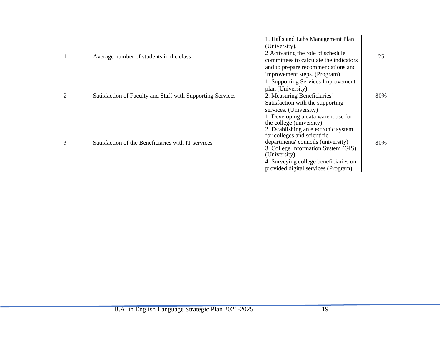|                | Average number of students in the class                    | 1. Halls and Labs Management Plan<br>(University).<br>2 Activating the role of schedule<br>committees to calculate the indicators<br>and to prepare recommendations and<br>improvement steps. (Program)                                                                                                            | 25  |
|----------------|------------------------------------------------------------|--------------------------------------------------------------------------------------------------------------------------------------------------------------------------------------------------------------------------------------------------------------------------------------------------------------------|-----|
| $\overline{2}$ | Satisfaction of Faculty and Staff with Supporting Services | 1. Supporting Services Improvement<br>plan (University).<br>2. Measuring Beneficiaries'<br>Satisfaction with the supporting<br>services. (University)                                                                                                                                                              | 80% |
| 3              | Satisfaction of the Beneficiaries with IT services         | 1. Developing a data warehouse for<br>the college (university)<br>2. Establishing an electronic system<br>for colleges and scientific<br>departments' councils (university)<br>3. College Information System (GIS)<br>(University)<br>4. Surveying college beneficiaries on<br>provided digital services (Program) | 80% |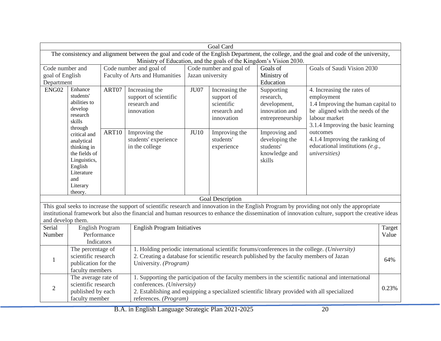|                   | Goal Card                                                                                                                                                                                                                                                                                               |                                |                                                                                                                                                    |                         |                                                                          |                                                                               |                                                                                                                                                                                                                                                                                                 |        |  |
|-------------------|---------------------------------------------------------------------------------------------------------------------------------------------------------------------------------------------------------------------------------------------------------------------------------------------------------|--------------------------------|----------------------------------------------------------------------------------------------------------------------------------------------------|-------------------------|--------------------------------------------------------------------------|-------------------------------------------------------------------------------|-------------------------------------------------------------------------------------------------------------------------------------------------------------------------------------------------------------------------------------------------------------------------------------------------|--------|--|
|                   |                                                                                                                                                                                                                                                                                                         |                                |                                                                                                                                                    |                         |                                                                          |                                                                               | The consistency and alignment between the goal and code of the English Department, the college, and the goal and code of the university,                                                                                                                                                        |        |  |
|                   |                                                                                                                                                                                                                                                                                                         |                                |                                                                                                                                                    |                         |                                                                          | Ministry of Education, and the goals of the Kingdom's Vision 2030.            |                                                                                                                                                                                                                                                                                                 |        |  |
| Code number and   |                                                                                                                                                                                                                                                                                                         |                                | Code number and goal of                                                                                                                            | Code number and goal of |                                                                          | Goals of                                                                      | Goals of Saudi Vision 2030                                                                                                                                                                                                                                                                      |        |  |
| goal of English   |                                                                                                                                                                                                                                                                                                         | Faculty of Arts and Humanities | Jazan university                                                                                                                                   |                         | Ministry of                                                              |                                                                               |                                                                                                                                                                                                                                                                                                 |        |  |
| Department        |                                                                                                                                                                                                                                                                                                         |                                |                                                                                                                                                    |                         |                                                                          | Education                                                                     |                                                                                                                                                                                                                                                                                                 |        |  |
| ENG02             | Enhance<br>students'<br>abilities to<br>develop<br>research<br>skills<br>through                                                                                                                                                                                                                        | ART07                          | Increasing the<br>support of scientific<br>research and<br>innovation                                                                              | JU07                    | Increasing the<br>support of<br>scientific<br>research and<br>innovation | Supporting<br>research,<br>development,<br>innovation and<br>entrepreneurship | 4. Increasing the rates of<br>employment<br>1.4 Improving the human capital to<br>be aligned with the needs of the<br>labour market<br>3.1.4 Improving the basic learning                                                                                                                       |        |  |
|                   | critical and<br>analytical<br>thinking in<br>the fields of<br>Linguistics,<br>English<br>Literature<br>and<br>Literary<br>theory.                                                                                                                                                                       | ART10                          | Improving the<br>students' experience<br>in the college                                                                                            | <b>JU10</b>             | Improving the<br>students'<br>experience                                 | Improving and<br>developing the<br>students'<br>knowledge and<br>skills       | outcomes<br>4.1.4 Improving the ranking of<br>educational institutions $(e.g.,$<br><i>universities</i> )                                                                                                                                                                                        |        |  |
|                   |                                                                                                                                                                                                                                                                                                         |                                |                                                                                                                                                    |                         | <b>Goal Description</b>                                                  |                                                                               |                                                                                                                                                                                                                                                                                                 |        |  |
| and develop them. |                                                                                                                                                                                                                                                                                                         |                                |                                                                                                                                                    |                         |                                                                          |                                                                               | This goal seeks to increase the support of scientific research and innovation in the English Program by providing not only the appropriate<br>institutional framework but also the financial and human resources to enhance the dissemination of innovation culture, support the creative ideas |        |  |
| Serial            | <b>English Program</b>                                                                                                                                                                                                                                                                                  |                                | <b>English Program Initiatives</b>                                                                                                                 |                         |                                                                          |                                                                               |                                                                                                                                                                                                                                                                                                 | Target |  |
| Number            | Performance                                                                                                                                                                                                                                                                                             |                                |                                                                                                                                                    |                         |                                                                          |                                                                               |                                                                                                                                                                                                                                                                                                 |        |  |
|                   | Indicators                                                                                                                                                                                                                                                                                              |                                |                                                                                                                                                    |                         |                                                                          |                                                                               |                                                                                                                                                                                                                                                                                                 |        |  |
| 1                 | 1. Holding periodic international scientific forums/conferences in the college. (University)<br>The percentage of<br>scientific research<br>2. Creating a database for scientific research published by the faculty members of Jazan<br>publication for the<br>University. (Program)<br>faculty members |                                |                                                                                                                                                    |                         |                                                                          |                                                                               | 64%                                                                                                                                                                                                                                                                                             |        |  |
| $\overline{2}$    | The average rate of<br>scientific research<br>published by each<br>faculty member                                                                                                                                                                                                                       |                                | conferences. (University)<br>2. Establishing and equipping a specialized scientific library provided with all specialized<br>references. (Program) |                         |                                                                          |                                                                               | 1. Supporting the participation of the faculty members in the scientific national and international                                                                                                                                                                                             | 0.23%  |  |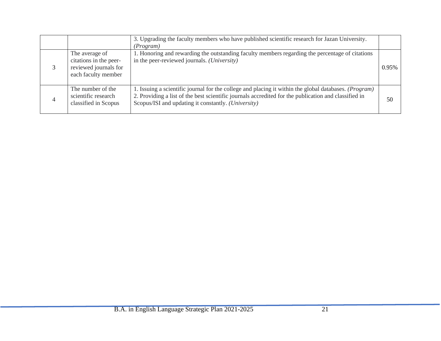|                |                                                                                          | 3. Upgrading the faculty members who have published scientific research for Jazan University.<br>(Program)                                                                                                                                                                    |       |
|----------------|------------------------------------------------------------------------------------------|-------------------------------------------------------------------------------------------------------------------------------------------------------------------------------------------------------------------------------------------------------------------------------|-------|
|                | The average of<br>citations in the peer-<br>reviewed journals for<br>each faculty member | 1. Honoring and rewarding the outstanding faculty members regarding the percentage of citations<br>in the peer-reviewed journals. (University)                                                                                                                                | 0.95% |
| $\overline{4}$ | The number of the<br>scientific research<br>classified in Scopus                         | 1. Issuing a scientific journal for the college and placing it within the global databases. ( <i>Program</i> )<br>2. Providing a list of the best scientific journals accredited for the publication and classified in<br>Scopus/ISI and updating it constantly. (University) | 50    |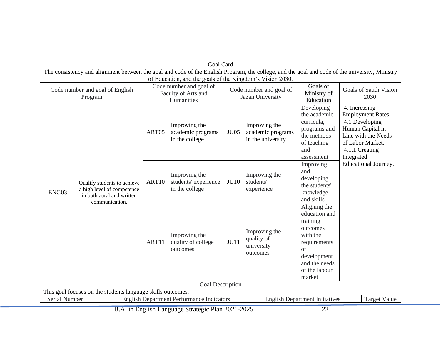|                                                                                                            | <b>Goal Card</b>                                                                                                                                                                                            |       |                                                         |                                             |                                                         |                                                                                                                                                    |                                                                                                                                                            |
|------------------------------------------------------------------------------------------------------------|-------------------------------------------------------------------------------------------------------------------------------------------------------------------------------------------------------------|-------|---------------------------------------------------------|---------------------------------------------|---------------------------------------------------------|----------------------------------------------------------------------------------------------------------------------------------------------------|------------------------------------------------------------------------------------------------------------------------------------------------------------|
|                                                                                                            | The consistency and alignment between the goal and code of the English Program, the college, and the goal and code of the university, Ministry<br>of Education, and the goals of the Kingdom's Vision 2030. |       |                                                         |                                             |                                                         |                                                                                                                                                    |                                                                                                                                                            |
| Code number and goal of<br>Code number and goal of English<br>Faculty of Arts and<br>Program<br>Humanities |                                                                                                                                                                                                             |       |                                                         | Code number and goal of<br>Jazan University |                                                         | Goals of<br>Ministry of<br>Education                                                                                                               | Goals of Saudi Vision<br>2030                                                                                                                              |
|                                                                                                            |                                                                                                                                                                                                             | ART05 | Improving the<br>academic programs<br>in the college    | <b>JU05</b>                                 | Improving the<br>academic programs<br>in the university | Developing<br>the academic<br>curricula,<br>programs and<br>the methods<br>of teaching<br>and<br>assessment                                        | 4. Increasing<br><b>Employment Rates.</b><br>4.1 Developing<br>Human Capital in<br>Line with the Needs<br>of Labor Market.<br>4.1.1 Creating<br>Integrated |
| ENG03                                                                                                      | Qualify students to achieve<br>a high level of competence<br>in both aural and written<br>communication.                                                                                                    | ART10 | Improving the<br>students' experience<br>in the college | <b>JU10</b>                                 | Improving the<br>students'<br>experience                | Improving<br>and<br>developing<br>the students'<br>knowledge<br>and skills                                                                         | Educational Journey.                                                                                                                                       |
|                                                                                                            |                                                                                                                                                                                                             | ART11 | Improving the<br>quality of college<br>outcomes         | JU11                                        | Improving the<br>quality of<br>university<br>outcomes   | Aligning the<br>education and<br>training<br>outcomes<br>with the<br>requirements<br>of<br>development<br>and the needs<br>of the labour<br>market |                                                                                                                                                            |
| Goal Description                                                                                           |                                                                                                                                                                                                             |       |                                                         |                                             |                                                         |                                                                                                                                                    |                                                                                                                                                            |
| This goal focuses on the students language skills outcomes.                                                |                                                                                                                                                                                                             |       |                                                         |                                             |                                                         |                                                                                                                                                    |                                                                                                                                                            |
|                                                                                                            | <b>Serial Number</b><br><b>English Department Performance Indicators</b><br><b>English Department Initiatives</b><br><b>Target Value</b>                                                                    |       |                                                         |                                             |                                                         |                                                                                                                                                    |                                                                                                                                                            |

B.A. in English Language Strategic Plan 2021-2025 22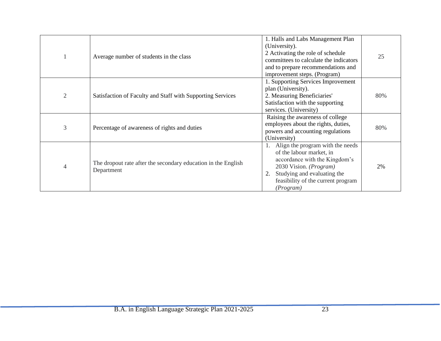|                | Average number of students in the class                                     | 1. Halls and Labs Management Plan<br>(University).<br>2 Activating the role of schedule<br>committees to calculate the indicators<br>and to prepare recommendations and<br>improvement steps. (Program)   | 25  |
|----------------|-----------------------------------------------------------------------------|-----------------------------------------------------------------------------------------------------------------------------------------------------------------------------------------------------------|-----|
| $\overline{2}$ | Satisfaction of Faculty and Staff with Supporting Services                  | 1. Supporting Services Improvement<br>plan (University).<br>2. Measuring Beneficiaries'<br>Satisfaction with the supporting<br>services. (University)                                                     | 80% |
| 3              | Percentage of awareness of rights and duties                                | Raising the awareness of college<br>employees about the rights, duties,<br>powers and accounting regulations<br>(University)                                                                              | 80% |
| 4              | The dropout rate after the secondary education in the English<br>Department | Align the program with the needs<br>of the labour market, in<br>accordance with the Kingdom's<br>2030 Vision. (Program)<br>Studying and evaluating the<br>feasibility of the current program<br>(Program) | 2%  |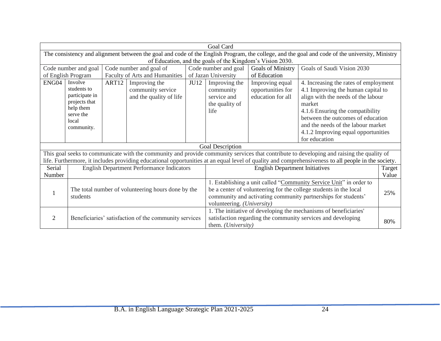|                                                                                                                            | <b>Goal Card</b>                                                                                                                               |                      |                                                  |                            |                                                                   |                                       |                                                                                                                                                     |        |  |
|----------------------------------------------------------------------------------------------------------------------------|------------------------------------------------------------------------------------------------------------------------------------------------|----------------------|--------------------------------------------------|----------------------------|-------------------------------------------------------------------|---------------------------------------|-----------------------------------------------------------------------------------------------------------------------------------------------------|--------|--|
|                                                                                                                            | The consistency and alignment between the goal and code of the English Program, the college, and the goal and code of the university, Ministry |                      |                                                  |                            |                                                                   |                                       |                                                                                                                                                     |        |  |
|                                                                                                                            | of Education, and the goals of the Kingdom's Vision 2030.                                                                                      |                      |                                                  |                            |                                                                   |                                       |                                                                                                                                                     |        |  |
| Code number and goal<br>Code number and goal of                                                                            |                                                                                                                                                | Code number and goal | <b>Goals of Ministry</b>                         | Goals of Saudi Vision 2030 |                                                                   |                                       |                                                                                                                                                     |        |  |
| Faculty of Arts and Humanities<br>of English Program                                                                       |                                                                                                                                                |                      | of Jazan University                              | of Education               |                                                                   |                                       |                                                                                                                                                     |        |  |
| ENG04                                                                                                                      | Involve                                                                                                                                        | ART <sub>12</sub>    | Improving the                                    | JU12                       | Improving the                                                     | Improving equal                       | 4. Increasing the rates of employment                                                                                                               |        |  |
|                                                                                                                            | students to                                                                                                                                    |                      | community service                                |                            | community                                                         | opportunities for                     | 4.1 Improving the human capital to                                                                                                                  |        |  |
|                                                                                                                            | participate in                                                                                                                                 |                      | and the quality of life                          |                            | service and                                                       | education for all                     | align with the needs of the labour                                                                                                                  |        |  |
|                                                                                                                            | projects that                                                                                                                                  |                      |                                                  |                            | the quality of                                                    |                                       | market                                                                                                                                              |        |  |
|                                                                                                                            | help them<br>serve the                                                                                                                         |                      |                                                  |                            | life                                                              |                                       | 4.1.6 Ensuring the compatibility                                                                                                                    |        |  |
|                                                                                                                            | local                                                                                                                                          |                      |                                                  |                            |                                                                   |                                       | between the outcomes of education                                                                                                                   |        |  |
|                                                                                                                            | community.                                                                                                                                     |                      |                                                  |                            |                                                                   |                                       | and the needs of the labour market                                                                                                                  |        |  |
|                                                                                                                            |                                                                                                                                                |                      |                                                  |                            |                                                                   |                                       | 4.1.2 Improving equal opportunities                                                                                                                 |        |  |
|                                                                                                                            |                                                                                                                                                |                      |                                                  |                            |                                                                   |                                       | for education                                                                                                                                       |        |  |
|                                                                                                                            |                                                                                                                                                |                      |                                                  |                            | Goal Description                                                  |                                       |                                                                                                                                                     |        |  |
|                                                                                                                            |                                                                                                                                                |                      |                                                  |                            |                                                                   |                                       | This goal seeks to communicate with the community and provide community services that contribute to developing and raising the quality of           |        |  |
|                                                                                                                            |                                                                                                                                                |                      |                                                  |                            |                                                                   |                                       | life. Furthermore, it includes providing educational opportunities at an equal level of quality and comprehensiveness to all people in the society. |        |  |
| Serial                                                                                                                     |                                                                                                                                                |                      | <b>English Department Performance Indicators</b> |                            |                                                                   | <b>English Department Initiatives</b> |                                                                                                                                                     | Target |  |
| Number                                                                                                                     |                                                                                                                                                |                      |                                                  |                            |                                                                   |                                       |                                                                                                                                                     | Value  |  |
|                                                                                                                            |                                                                                                                                                |                      |                                                  |                            |                                                                   |                                       | 1. Establishing a unit called "Community Service Unit" in order to                                                                                  |        |  |
|                                                                                                                            | The total number of volunteering hours done by the                                                                                             |                      |                                                  |                            | be a center of volunteering for the college students in the local |                                       |                                                                                                                                                     |        |  |
|                                                                                                                            | students                                                                                                                                       |                      |                                                  |                            | community and activating community partnerships for students'     |                                       |                                                                                                                                                     |        |  |
|                                                                                                                            | volunteering. (University)                                                                                                                     |                      |                                                  |                            |                                                                   |                                       |                                                                                                                                                     |        |  |
|                                                                                                                            |                                                                                                                                                |                      |                                                  |                            |                                                                   |                                       | 1. The initiative of developing the mechanisms of beneficiaries'                                                                                    |        |  |
| satisfaction regarding the community services and developing<br>Beneficiaries' satisfaction of the community services<br>2 |                                                                                                                                                |                      |                                                  |                            |                                                                   |                                       |                                                                                                                                                     |        |  |
|                                                                                                                            |                                                                                                                                                |                      |                                                  |                            | them. (University)                                                |                                       |                                                                                                                                                     | 80%    |  |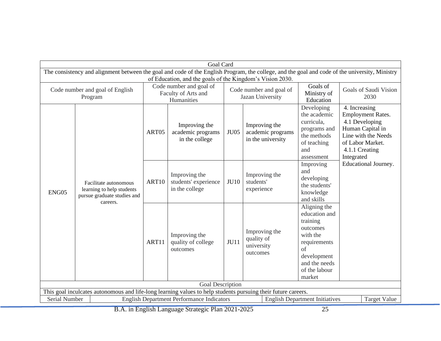|                                                                                                               | <b>Goal Card</b>                                                                                                                               |       |                                                           |                                             |                                                         |                                                                                                                                                    |                                                                                                                                                            |
|---------------------------------------------------------------------------------------------------------------|------------------------------------------------------------------------------------------------------------------------------------------------|-------|-----------------------------------------------------------|---------------------------------------------|---------------------------------------------------------|----------------------------------------------------------------------------------------------------------------------------------------------------|------------------------------------------------------------------------------------------------------------------------------------------------------------|
|                                                                                                               | The consistency and alignment between the goal and code of the English Program, the college, and the goal and code of the university, Ministry |       | of Education, and the goals of the Kingdom's Vision 2030. |                                             |                                                         |                                                                                                                                                    |                                                                                                                                                            |
|                                                                                                               | Code number and goal of<br>Code number and goal of English<br>Faculty of Arts and<br>Program<br>Humanities                                     |       |                                                           | Code number and goal of<br>Jazan University |                                                         | Goals of<br>Ministry of<br>Education                                                                                                               | Goals of Saudi Vision<br>2030                                                                                                                              |
|                                                                                                               |                                                                                                                                                | ART05 | Improving the<br>academic programs<br>in the college      | <b>JU05</b>                                 | Improving the<br>academic programs<br>in the university | Developing<br>the academic<br>curricula,<br>programs and<br>the methods<br>of teaching<br>and<br>assessment                                        | 4. Increasing<br><b>Employment Rates.</b><br>4.1 Developing<br>Human Capital in<br>Line with the Needs<br>of Labor Market.<br>4.1.1 Creating<br>Integrated |
| ENG05                                                                                                         | Facilitate autonomous<br>learning to help students<br>pursue graduate studies and                                                              | ART10 | Improving the<br>students' experience<br>in the college   | <b>JU10</b>                                 | Improving the<br>students'<br>experience                | Improving<br>and<br>developing<br>the students'<br>knowledge<br>and skills                                                                         | Educational Journey.                                                                                                                                       |
|                                                                                                               | careers.                                                                                                                                       | ART11 | Improving the<br>quality of college<br>outcomes           | <b>JU11</b>                                 | Improving the<br>quality of<br>university<br>outcomes   | Aligning the<br>education and<br>training<br>outcomes<br>with the<br>requirements<br>of<br>development<br>and the needs<br>of the labour<br>market |                                                                                                                                                            |
| <b>Goal Description</b>                                                                                       |                                                                                                                                                |       |                                                           |                                             |                                                         |                                                                                                                                                    |                                                                                                                                                            |
| This goal inculcates autonomous and life-long learning values to help students pursuing their future careers. |                                                                                                                                                |       |                                                           |                                             |                                                         |                                                                                                                                                    |                                                                                                                                                            |
|                                                                                                               | Serial Number<br><b>English Department Performance Indicators</b><br><b>English Department Initiatives</b><br><b>Target Value</b>              |       |                                                           |                                             |                                                         |                                                                                                                                                    |                                                                                                                                                            |

B.A. in English Language Strategic Plan 2021-2025 25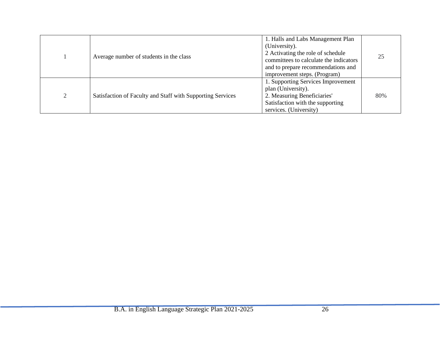<span id="page-25-0"></span>

|   | Average number of students in the class                    | 1. Halls and Labs Management Plan<br>(University).<br>2 Activating the role of schedule<br>committees to calculate the indicators<br>and to prepare recommendations and<br>improvement steps. (Program) | 25  |
|---|------------------------------------------------------------|---------------------------------------------------------------------------------------------------------------------------------------------------------------------------------------------------------|-----|
| ◠ | Satisfaction of Faculty and Staff with Supporting Services | 1. Supporting Services Improvement<br>plan (University).<br>2. Measuring Beneficiaries'<br>Satisfaction with the supporting<br>services. (University)                                                   | 80% |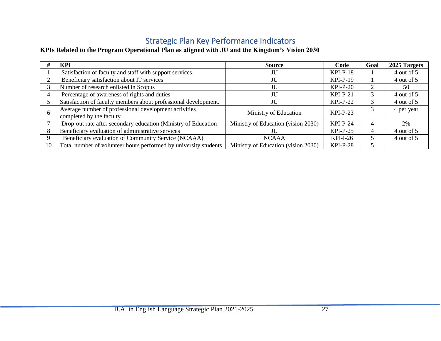## Strategic Plan Key Performance Indicators

### **KPIs Related to the Program Operational Plan as aligned with JU and the Kingdom's Vision 2030**

|    | <b>KPI</b>                                                                        | Source                              | Code       | Goal | 2025 Targets |
|----|-----------------------------------------------------------------------------------|-------------------------------------|------------|------|--------------|
|    | Satisfaction of faculty and staff with support services                           | JU                                  | $KPI-P-18$ |      | 4 out of 5   |
|    | Beneficiary satisfaction about IT services                                        | JU                                  | $KPI-P-19$ |      | 4 out of 5   |
|    | Number of research enlisted in Scopus                                             | JU                                  | $KPI-P-20$ | 2    | 50           |
|    | Percentage of awareness of rights and duties                                      | JU                                  | $KPI-P-21$ | 3    | 4 out of 5   |
|    | Satisfaction of faculty members about professional development.                   | JU                                  | $KPI-P-22$ |      | 4 out of 5   |
| -6 | Average number of professional development activities<br>completed by the faculty | Ministry of Education               | $KPI-P-23$ |      | 4 per year   |
|    | Drop-out rate after secondary education (Ministry of Education                    | Ministry of Education (vision 2030) | $KPI-P-24$ | 4    | 2%           |
| 8  | Beneficiary evaluation of administrative services                                 | ЛU                                  | $KPI-P-25$ | 4    | 4 out of 5   |
| 9  | Beneficiary evaluation of Community Service (NCAAA)                               | <b>NCAAA</b>                        | $KPI-I-26$ | 5.   | 4 out of 5   |
| 10 | Total number of volunteer hours performed by university students                  | Ministry of Education (vision 2030) | $KPI-P-28$ | 5.   |              |